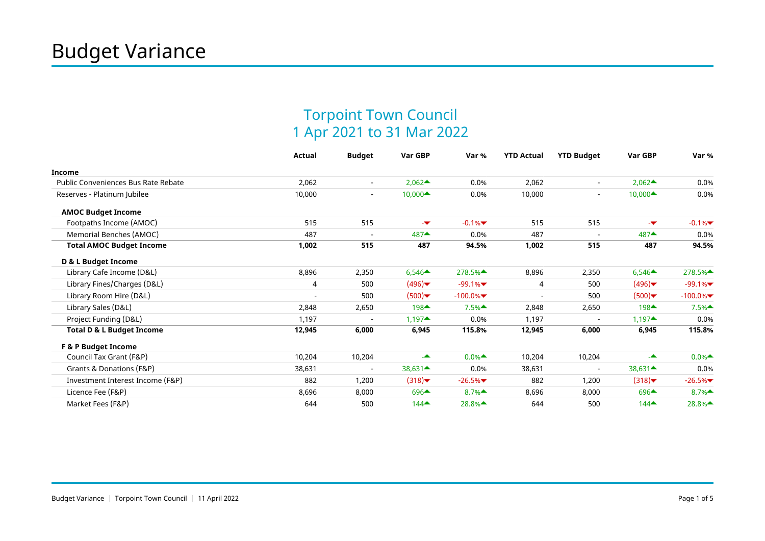## Torpoint Town Council 1 Apr 2021 to 31 Mar 2022

|                                      | <b>Actual</b>  | <b>Budget</b>            | Var GBP                                   | Var %                                    | <b>YTD Actual</b> | <b>YTD Budget</b>        | Var GBP                                 | Var %      |
|--------------------------------------|----------------|--------------------------|-------------------------------------------|------------------------------------------|-------------------|--------------------------|-----------------------------------------|------------|
| <b>Income</b>                        |                |                          |                                           |                                          |                   |                          |                                         |            |
| Public Conveniences Bus Rate Rebate  | 2,062          | $\blacksquare$           | $2,062 \triangle$                         | 0.0%                                     | 2,062             | $\overline{\phantom{a}}$ | $2,062 \triangle$                       | 0.0%       |
| Reserves - Platinum Jubilee          | 10,000         | $\overline{\phantom{a}}$ | 10,000▲                                   | 0.0%                                     | 10,000            | $\blacksquare$           | $10,000 \triangleq$                     | 0.0%       |
| <b>AMOC Budget Income</b>            |                |                          |                                           |                                          |                   |                          |                                         |            |
| Footpaths Income (AMOC)              | 515            | 515                      | -w                                        | $-0.1%$                                  | 515               | 515                      | -w.                                     | $-0.1%$    |
| Memorial Benches (AMOC)              | 487            | $\overline{\phantom{a}}$ | 487▲                                      | 0.0%                                     | 487               | $\overline{\phantom{a}}$ | $487 \triangle$                         | 0.0%       |
| <b>Total AMOC Budget Income</b>      | 1,002          | 515                      | 487                                       | 94.5%                                    | 1,002             | 515                      | 487                                     | 94.5%      |
| D & L Budget Income                  |                |                          |                                           |                                          |                   |                          |                                         |            |
| Library Cafe Income (D&L)            | 8,896          | 2,350                    | $6,546 \triangle$                         | 278.5%▲                                  | 8,896             | 2,350                    | $6,546 \triangle$                       | 278.5%▲    |
| Library Fines/Charges (D&L)          | $\overline{4}$ | 500                      | (496)                                     | $-99.1%$                                 | 4                 | 500                      | (496)                                   | $-99.1%$   |
| Library Room Hire (D&L)              |                | 500                      | (500)                                     | $-100.0\%$                               |                   | 500                      | (500)                                   | $-100.0\%$ |
| Library Sales (D&L)                  | 2,848          | 2,650                    | 198▲                                      | 7.5%                                     | 2,848             | 2,650                    | $198 \triangle$                         | 7.5%       |
| Project Funding (D&L)                | 1,197          | $\overline{\phantom{a}}$ | $1,197$ <sup><math>\triangle</math></sup> | 0.0%                                     | 1,197             |                          | $1,197^{\perp}$                         | 0.0%       |
| <b>Total D &amp; L Budget Income</b> | 12,945         | 6,000                    | 6,945                                     | 115.8%                                   | 12,945            | 6,000                    | 6,945                                   | 115.8%     |
| <b>F &amp; P Budget Income</b>       |                |                          |                                           |                                          |                   |                          |                                         |            |
| Council Tax Grant (F&P)              | 10,204         | 10,204                   | 스                                         | $0.0%$ <sup><math>\triangle</math></sup> | 10,204            | 10,204                   | 스                                       | 0.0%       |
| Grants & Donations (F&P)             | 38,631         | $\overline{\phantom{a}}$ | $38,631 \triangleq$                       | 0.0%                                     | 38,631            | $\overline{\phantom{a}}$ | $38,631 \triangleq$                     | 0.0%       |
| Investment Interest Income (F&P)     | 882            | 1,200                    | (318)                                     | $-26.5%$                                 | 882               | 1,200                    | $(318)$ $\blacktriangleright$           | $-26.5%$   |
| Licence Fee (F&P)                    | 8,696          | 8,000                    | $696 \triangle$                           | 8.7%                                     | 8,696             | 8,000                    | $696 \triangle$                         | 8.7%       |
| Market Fees (F&P)                    | 644            | 500                      | $144$ <sup><math>\triangle</math></sup>   | 28.8% <sup><math>\triangle</math></sup>  | 644               | 500                      | $144$ <sup><math>\triangle</math></sup> | 28.8%▲     |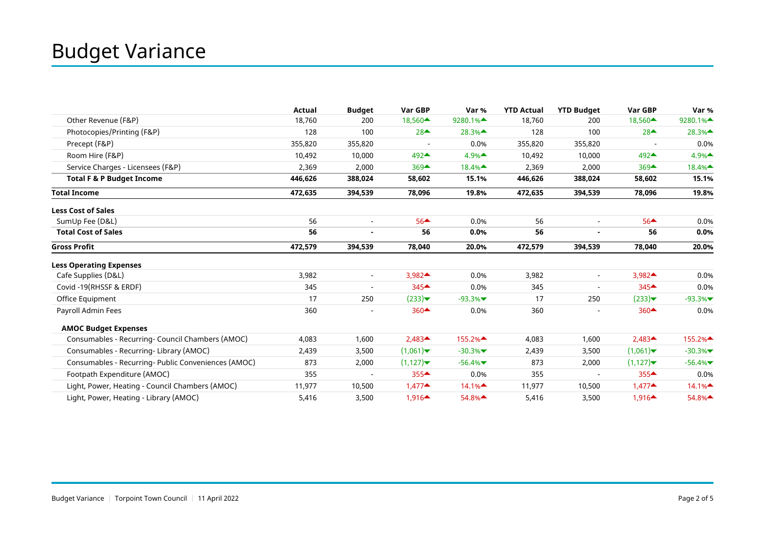|                                                     | <b>Actual</b> | <b>Budget</b>            | Var GBP                                  | Var %                                     | <b>YTD Actual</b> | <b>YTD Budget</b>        | Var GBP                                   | Var %                                     |
|-----------------------------------------------------|---------------|--------------------------|------------------------------------------|-------------------------------------------|-------------------|--------------------------|-------------------------------------------|-------------------------------------------|
| Other Revenue (F&P)                                 | 18,760        | 200                      | 18,560 <sup><math>\triangle</math></sup> | 9280.1% <sup><math>\triangle</math></sup> | 18,760            | 200                      | $18,560 \triangleq$                       | 9280.1% <sup><math>\triangle</math></sup> |
| Photocopies/Printing (F&P)                          | 128           | 100                      | $28$ <sup><math>\triangle</math></sup>   | 28.3%▲                                    | 128               | 100                      | $28$ <sup><math>\triangle</math></sup>    | 28.3%▲                                    |
| Precept (F&P)                                       | 355,820       | 355,820                  |                                          | 0.0%                                      | 355,820           | 355,820                  |                                           | 0.0%                                      |
| Room Hire (F&P)                                     | 10,492        | 10,000                   | 492▲                                     | 4.9%                                      | 10,492            | 10,000                   | $492 \triangle$                           | 4.9%                                      |
| Service Charges - Licensees (F&P)                   | 2,369         | 2,000                    | $369$ <sup><math>\triangle</math></sup>  | 18.4%▲                                    | 2,369             | 2,000                    | $369$ <sup><math>\triangle</math></sup>   | 18.4%▲                                    |
| <b>Total F &amp; P Budget Income</b>                | 446,626       | 388,024                  | 58,602                                   | 15.1%                                     | 446,626           | 388,024                  | 58,602                                    | 15.1%                                     |
| <b>Total Income</b>                                 | 472,635       | 394,539                  | 78,096                                   | 19.8%                                     | 472,635           | 394,539                  | 78,096                                    | 19.8%                                     |
| <b>Less Cost of Sales</b>                           |               |                          |                                          |                                           |                   |                          |                                           |                                           |
| SumUp Fee (D&L)                                     | 56            | $\overline{\phantom{a}}$ | $56 \triangle$                           | 0.0%                                      | 56                | $\blacksquare$           | $56$ <sup><math>\triangle</math></sup>    | 0.0%                                      |
| <b>Total Cost of Sales</b>                          | 56            |                          | 56                                       | 0.0%                                      | 56                |                          | 56                                        | 0.0%                                      |
| <b>Gross Profit</b>                                 | 472,579       | 394,539                  | 78,040                                   | 20.0%                                     | 472,579           | 394,539                  | 78,040                                    | 20.0%                                     |
| <b>Less Operating Expenses</b>                      |               |                          |                                          |                                           |                   |                          |                                           |                                           |
| Cafe Supplies (D&L)                                 | 3,982         | $\overline{\phantom{a}}$ | 3,982▲                                   | 0.0%                                      | 3,982             | $\overline{\phantom{a}}$ | $3,982 \triangle$                         | 0.0%                                      |
| Covid -19(RHSSF & ERDF)                             | 345           | $\overline{\phantom{0}}$ | 345▲                                     | 0.0%                                      | 345               |                          | $345$ <sup><math>\triangle</math></sup>   | 0.0%                                      |
| Office Equipment                                    | 17            | 250                      | (233)                                    | $-93.3%$                                  | 17                | 250                      | $(233)$ <del>▼</del>                      | $-93.3%$                                  |
| Payroll Admin Fees                                  | 360           |                          | $360 \triangle$                          | 0.0%                                      | 360               |                          | $360$ <sup><math>\triangle</math></sup>   | 0.0%                                      |
| <b>AMOC Budget Expenses</b>                         |               |                          |                                          |                                           |                   |                          |                                           |                                           |
| Consumables - Recurring- Council Chambers (AMOC)    | 4,083         | 1,600                    | $2,483 \triangle$                        | 155.2% <sup><math>\triangle</math></sup>  | 4,083             | 1,600                    | $2,483$ <sup><math>\triangle</math></sup> | 155.2%▲                                   |
| Consumables - Recurring- Library (AMOC)             | 2,439         | 3,500                    | (1,061)                                  | $-30.3%$                                  | 2,439             | 3,500                    | (1,061)                                   | $-30.3%$                                  |
| Consumables - Recurring- Public Conveniences (AMOC) | 873           | 2,000                    | (1,127)                                  | $-56.4%$                                  | 873               | 2,000                    | (1,127)                                   | $-56.4%$                                  |
| Footpath Expenditure (AMOC)                         | 355           |                          | $355 -$                                  | 0.0%                                      | 355               |                          | $355 -$                                   | 0.0%                                      |
| Light, Power, Heating - Council Chambers (AMOC)     | 11,977        | 10,500                   | $1,477 \triangleq$                       | 14.1%                                     | 11,977            | 10,500                   | $1,477 \triangleq$                        | 14.1%                                     |
| Light, Power, Heating - Library (AMOC)              | 5,416         | 3,500                    | $1,916 \triangleq$                       | 54.8%▲                                    | 5,416             | 3,500                    | $1,916 \triangleq$                        | 54.8%▲                                    |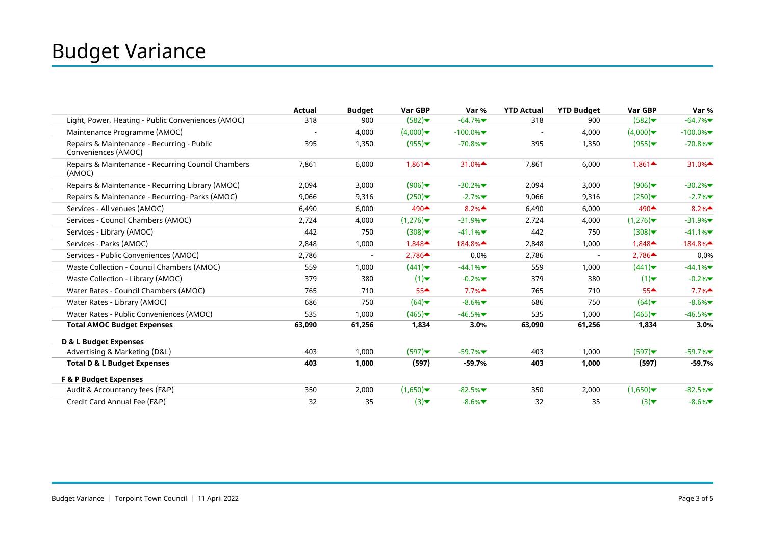|                                                                   | Actual                   | <b>Budget</b> | Var GBP            | Var %                                    | <b>YTD Actual</b> | <b>YTD Budget</b> | Var GBP            | Var %                                    |
|-------------------------------------------------------------------|--------------------------|---------------|--------------------|------------------------------------------|-------------------|-------------------|--------------------|------------------------------------------|
| Light, Power, Heating - Public Conveniences (AMOC)                | 318                      | 900           | (582)              | $-64.7%$                                 | 318               | 900               | (582)              | $-64.7%$                                 |
| Maintenance Programme (AMOC)                                      | $\overline{\phantom{a}}$ | 4,000         | (4,000)            | $-100.0%$                                | $\blacksquare$    | 4,000             | (4,000)            | $-100.0\%$                               |
| Repairs & Maintenance - Recurring - Public<br>Conveniences (AMOC) | 395                      | 1,350         | (955)              | $-70.8%$                                 | 395               | 1,350             | (955)              | $-70.8%$                                 |
| Repairs & Maintenance - Recurring Council Chambers<br>(AMOC)      | 7,861                    | 6,000         | $1,861 \triangleq$ | 31.0% $\triangle$                        | 7.861             | 6,000             | $1,861 \triangleq$ | 31.0%                                    |
| Repairs & Maintenance - Recurring Library (AMOC)                  | 2,094                    | 3,000         | (906)              | $-30.2%$                                 | 2,094             | 3,000             | (906)              | $-30.2%$                                 |
| Repairs & Maintenance - Recurring- Parks (AMOC)                   | 9,066                    | 9,316         | (250)              | $-2.7%$                                  | 9,066             | 9,316             | (250)              | $-2.7%$                                  |
| Services - All venues (AMOC)                                      | 6,490                    | 6,000         | 490▲               | 8.2%                                     | 6,490             | 6,000             | 490▲               | 8.2%                                     |
| Services - Council Chambers (AMOC)                                | 2,724                    | 4,000         | (1,276)            | $-31.9%$                                 | 2,724             | 4,000             | (1,276)            | $-31.9%$                                 |
| Services - Library (AMOC)                                         | 442                      | 750           | (308)              | $-41.1%$                                 | 442               | 750               | (308)              | $-41.1%$                                 |
| Services - Parks (AMOC)                                           | 2,848                    | 1,000         | $1,848 \triangleq$ | 184.8% <sup><math>\triangle</math></sup> | 2,848             | 1,000             | $1,848 \triangleq$ | 184.8% <sup><math>\triangle</math></sup> |
| Services - Public Conveniences (AMOC)                             | 2,786                    |               | $2,786 \triangle$  | 0.0%                                     | 2,786             |                   | $2,786 \triangle$  | 0.0%                                     |
| Waste Collection - Council Chambers (AMOC)                        | 559                      | 1,000         | (441)              | $-44.1%$                                 | 559               | 1,000             | (441)              | $-44.1%$                                 |
| Waste Collection - Library (AMOC)                                 | 379                      | 380           | (1)                | $-0.2%$                                  | 379               | 380               | (1)                | $-0.2%$                                  |
| Water Rates - Council Chambers (AMOC)                             | 765                      | 710           | $55 -$             | 7.7%                                     | 765               | 710               | $55 -$             | 7.7%                                     |
| Water Rates - Library (AMOC)                                      | 686                      | 750           | (64)               | $-8.6%$                                  | 686               | 750               | (64)               | $-8.6%$                                  |
| Water Rates - Public Conveniences (AMOC)                          | 535                      | 1,000         | (465)              | $-46.5%$                                 | 535               | 1.000             | (465)              | $-46.5%$                                 |
| <b>Total AMOC Budget Expenses</b>                                 | 63,090                   | 61,256        | 1,834              | 3.0%                                     | 63,090            | 61,256            | 1,834              | 3.0%                                     |
| D & L Budget Expenses                                             |                          |               |                    |                                          |                   |                   |                    |                                          |
| Advertising & Marketing (D&L)                                     | 403                      | 1,000         | (597)              | $-59.7%$                                 | 403               | 1,000             | (597)              | $-59.7%$                                 |
| <b>Total D &amp; L Budget Expenses</b>                            | 403                      | 1,000         | (597)              | $-59.7%$                                 | 403               | 1,000             | (597)              | $-59.7%$                                 |
| <b>F &amp; P Budget Expenses</b>                                  |                          |               |                    |                                          |                   |                   |                    |                                          |
| Audit & Accountancy fees (F&P)                                    | 350                      | 2,000         | (1,650)            | $-82.5%$                                 | 350               | 2,000             | (1,650)            | $-82.5%$                                 |
| Credit Card Annual Fee (F&P)                                      | 32                       | 35            | (3)                | $-8.6%$                                  | 32                | 35                | (3)                | $-8.6%$                                  |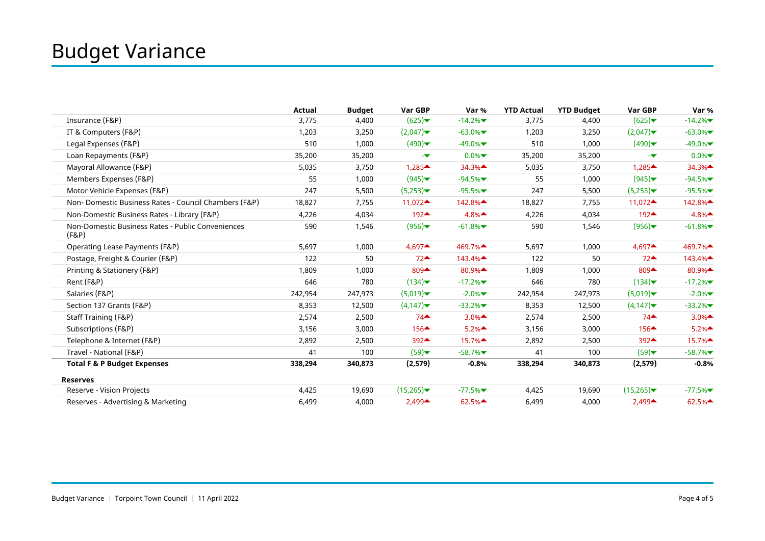|                                                            | Actual  | <b>Budget</b> | Var GBP                                   | Var %                                      | <b>YTD Actual</b> | <b>YTD Budget</b> | Var GBP                                   | Var %     |
|------------------------------------------------------------|---------|---------------|-------------------------------------------|--------------------------------------------|-------------------|-------------------|-------------------------------------------|-----------|
| Insurance (F&P)                                            | 3,775   | 4,400         | (625)                                     | $-14.2%$                                   | 3,775             | 4,400             | (625)                                     | $-14.2%$  |
| IT & Computers (F&P)                                       | 1,203   | 3,250         | (2,047)                                   | $-63.0%$                                   | 1,203             | 3,250             | (2,047)                                   | $-63.0\%$ |
| Legal Expenses (F&P)                                       | 510     | 1,000         | (490)                                     | $-49.0\%$                                  | 510               | 1,000             | (490)                                     | $-49.0\%$ |
| Loan Repayments (F&P)                                      | 35,200  | 35,200        | -7                                        | $0.0\%$                                    | 35,200            | 35,200            | ÷                                         | 0.0%      |
| Mayoral Allowance (F&P)                                    | 5,035   | 3,750         | $1,285$ <sup><math>\triangle</math></sup> | 34.3%                                      | 5,035             | 3,750             | $1,285$ <sup><math>\triangle</math></sup> | 34.3%     |
| Members Expenses (F&P)                                     | 55      | 1,000         | (945)                                     | $-94.5%$                                   | 55                | 1,000             | (945)                                     | $-94.5%$  |
| Motor Vehicle Expenses (F&P)                               | 247     | 5,500         | (5,253)                                   | $-95.5%$                                   | 247               | 5,500             | (5,253)                                   | $-95.5%$  |
| Non-Domestic Business Rates - Council Chambers (F&P)       | 18,827  | 7,755         | 11,072 $\triangle$                        | 142.8%▲                                    | 18,827            | 7,755             | 11,072 $\triangle$                        | 142.8%▲   |
| Non-Domestic Business Rates - Library (F&P)                | 4,226   | 4,034         | 192▲                                      | 4.8%                                       | 4,226             | 4,034             | $192 \triangle$                           | 4.8%      |
| Non-Domestic Business Rates - Public Conveniences<br>(F&P) | 590     | 1,546         | (956)                                     | $-61.8%$                                   | 590               | 1,546             | (956)                                     | $-61.8%$  |
| Operating Lease Payments (F&P)                             | 5,697   | 1,000         | 4,697▲                                    | 469.7%                                     | 5,697             | 1,000             | $4,697$ <sup><math>\triangle</math></sup> | 469.7%▲   |
| Postage, Freight & Courier (F&P)                           | 122     | 50            | $72-$                                     | 143.4%                                     | 122               | 50                | $72^{\triangle}$                          | 143.4%    |
| Printing & Stationery (F&P)                                | 1,809   | 1,000         | 809▲                                      | 80.9%▲                                     | 1,809             | 1,000             | $809 \triangle$                           | 80.9%▲    |
| Rent (F&P)                                                 | 646     | 780           | (134)                                     | $-17.2%$                                   | 646               | 780               | (134)                                     | $-17.2%$  |
| Salaries (F&P)                                             | 242,954 | 247,973       | (5,019)                                   | $-2.0\%$                                   | 242,954           | 247,973           | (5,019)                                   | $-2.0%$   |
| Section 137 Grants (F&P)                                   | 8,353   | 12,500        | (4,147)                                   | $-33.2%$                                   | 8,353             | 12,500            | (4, 147)                                  | $-33.2%$  |
| Staff Training (F&P)                                       | 2,574   | 2,500         | 74                                        | 3.0%                                       | 2,574             | 2,500             | $74$ <sup><math>\triangle</math></sup>    | 3.0%      |
| Subscriptions (F&P)                                        | 3,156   | 3,000         | $156 \triangleq$                          | 5.2%                                       | 3,156             | 3,000             | $156 \triangle$                           | 5.2%      |
| Telephone & Internet (F&P)                                 | 2,892   | 2,500         | $392 \triangle$                           | $15.7\%$ <sup><math>\triangle</math></sup> | 2,892             | 2,500             | $392 \triangle$                           | 15.7%▲    |
| Travel - National (F&P)                                    | 41      | 100           | (59)                                      | $-58.7%$                                   | 41                | 100               | (59)                                      | $-58.7%$  |
| <b>Total F &amp; P Budget Expenses</b>                     | 338,294 | 340,873       | (2,579)                                   | $-0.8%$                                    | 338,294           | 340,873           | (2, 579)                                  | $-0.8%$   |
| <b>Reserves</b>                                            |         |               |                                           |                                            |                   |                   |                                           |           |
| Reserve - Vision Projects                                  | 4,425   | 19,690        | (15,265)                                  | $-77.5%$                                   | 4,425             | 19,690            | (15,265)                                  | $-77.5%$  |
| Reserves - Advertising & Marketing                         | 6,499   | 4,000         | 2,499▲                                    | 62.5%                                      | 6,499             | 4,000             | $2,499 \triangle$                         | 62.5%     |